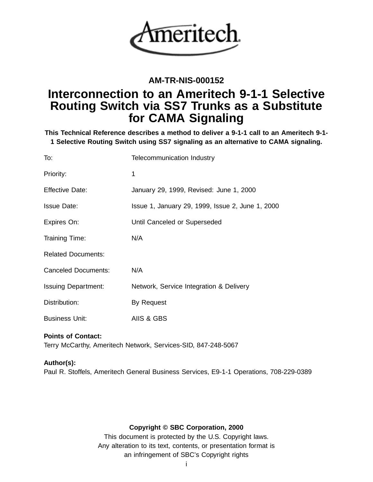

# **AM-TR-NIS-000152**

# **Interconnection to an Ameritech 9-1-1 Selective Routing Switch via SS7 Trunks as a Substitute for CAMA Signaling**

**This Technical Reference describes a method to deliver a 9-1-1 call to an Ameritech 9-1- 1 Selective Routing Switch using SS7 signaling as an alternative to CAMA signaling.**

| To:                        | Telecommunication Industry                       |
|----------------------------|--------------------------------------------------|
| Priority:                  | 1                                                |
| <b>Effective Date:</b>     | January 29, 1999, Revised: June 1, 2000          |
| <b>Issue Date:</b>         | Issue 1, January 29, 1999, Issue 2, June 1, 2000 |
| Expires On:                | Until Canceled or Superseded                     |
| Training Time:             | N/A                                              |
| <b>Related Documents:</b>  |                                                  |
| <b>Canceled Documents:</b> | N/A                                              |
| <b>Issuing Department:</b> | Network, Service Integration & Delivery          |
| Distribution:              | By Request                                       |
| <b>Business Unit:</b>      | AIIS & GBS                                       |
|                            |                                                  |

# **Points of Contact:**

Terry McCarthy, Ameritech Network, Services-SID, 847-248-5067

#### **Author(s):**

Paul R. Stoffels, Ameritech General Business Services, E9-1-1 Operations, 708-229-0389

# **Copyright © SBC Corporation, 2000**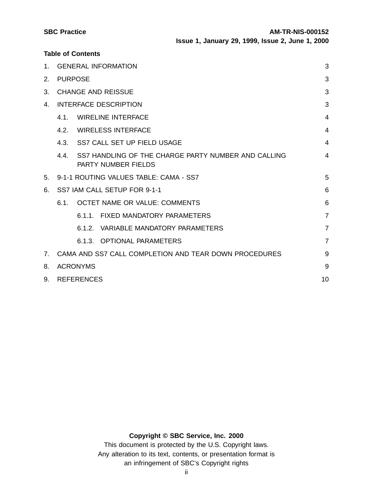#### **Table of Contents**

| 1 <sub>1</sub> | <b>GENERAL INFORMATION</b>                                                       | 3              |  |
|----------------|----------------------------------------------------------------------------------|----------------|--|
| 2.             | <b>PURPOSE</b>                                                                   | 3              |  |
| 3.             | <b>CHANGE AND REISSUE</b>                                                        |                |  |
| 4.             | <b>INTERFACE DESCRIPTION</b>                                                     |                |  |
|                | 4.1.<br><b>WIRELINE INTERFACE</b>                                                | $\overline{4}$ |  |
|                | 4.2.<br><b>WIRELESS INTERFACE</b>                                                | $\overline{4}$ |  |
|                | 4.3.<br>SS7 CALL SET UP FIELD USAGE                                              | $\overline{4}$ |  |
|                | SS7 HANDLING OF THE CHARGE PARTY NUMBER AND CALLING<br>44<br>PARTY NUMBER FIELDS | $\overline{4}$ |  |
| 5.             | 9-1-1 ROUTING VALUES TABLE: CAMA - SS7                                           | 5              |  |
| 6.             | SS7 IAM CALL SETUP FOR 9-1-1                                                     | 6              |  |
|                | <b>OCTET NAME OR VALUE: COMMENTS</b><br>6.1.                                     | 6              |  |
|                | 6.1.1. FIXED MANDATORY PARAMETERS                                                | $\overline{7}$ |  |
|                | VARIABLE MANDATORY PARAMETERS<br>6.1.2                                           | $\overline{7}$ |  |
|                | 6.1.3. OPTIONAL PARAMETERS                                                       | $\overline{7}$ |  |
| 7 <sub>1</sub> | CAMA AND SS7 CALL COMPLETION AND TEAR DOWN PROCEDURES                            | 9              |  |
| 8.             | <b>ACRONYMS</b>                                                                  | 9              |  |
| 9.             | <b>REFERENCES</b>                                                                | 10             |  |

## **Copyright © SBC Service, Inc. 2000**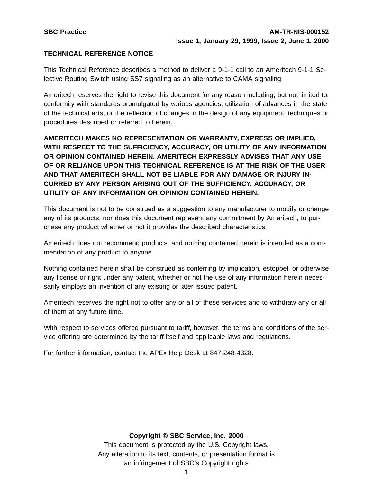## **TECHNICAL REFERENCE NOTICE**

This Technical Reference describes a method to deliver a 9-1-1 call to an Ameritech 9-1-1 Selective Routing Switch using SS7 signaling as an alternative to CAMA signaling.

Ameritech reserves the right to revise this document for any reason including, but not limited to, conformity with standards promulgated by various agencies, utilization of advances in the state of the technical arts, or the reflection of changes in the design of any equipment, techniques or procedures described or referred to herein.

**AMERITECH MAKES NO REPRESENTATION OR WARRANTY, EXPRESS OR IMPLIED, WITH RESPECT TO THE SUFFICIENCY, ACCURACY, OR UTILITY OF ANY INFORMATION OR OPINION CONTAINED HEREIN. AMERITECH EXPRESSLY ADVISES THAT ANY USE OF OR RELIANCE UPON THIS TECHNICAL REFERENCE IS AT THE RISK OF THE USER AND THAT AMERITECH SHALL NOT BE LIABLE FOR ANY DAMAGE OR INJURY IN-CURRED BY ANY PERSON ARISING OUT OF THE SUFFICIENCY, ACCURACY, OR UTILITY OF ANY INFORMATION OR OPINION CONTAINED HEREIN.**

This document is not to be construed as a suggestion to any manufacturer to modify or change any of its products, nor does this document represent any commitment by Ameritech, to purchase any product whether or not it provides the described characteristics.

Ameritech does not recommend products, and nothing contained herein is intended as a commendation of any product to anyone.

Nothing contained herein shall be construed as conferring by implication, estoppel, or otherwise any license or right under any patent, whether or not the use of any information herein necessarily employs an invention of any existing or later issued patent.

Ameritech reserves the right not to offer any or all of these services and to withdraw any or all of them at any future time.

With respect to services offered pursuant to tariff, however, the terms and conditions of the service offering are determined by the tariff itself and applicable laws and regulations.

For further information, contact the APEx Help Desk at 847-248-4328.

#### **Copyright © SBC Service, Inc. 2000**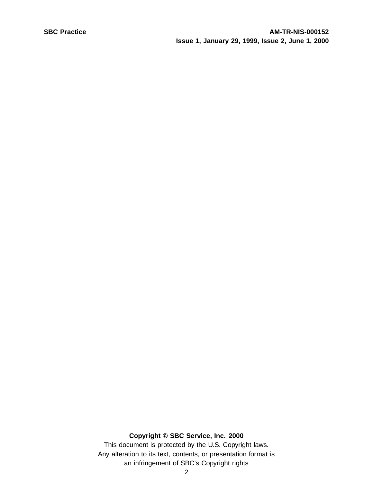**SBC Practice AM-TR-NIS-000152 Issue 1, January 29, 1999, Issue 2, June 1, 2000**

# **Copyright © SBC Service, Inc. 2000**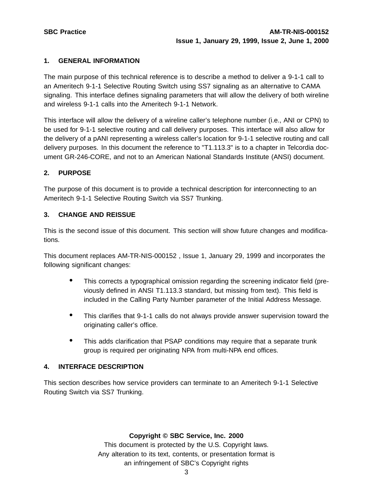#### **1. GENERAL INFORMATION**

The main purpose of this technical reference is to describe a method to deliver a 9-1-1 call to an Ameritech 9-1-1 Selective Routing Switch using SS7 signaling as an alternative to CAMA signaling. This interface defines signaling parameters that will allow the delivery of both wireline and wireless 9-1-1 calls into the Ameritech 9-1-1 Network.

This interface will allow the delivery of a wireline caller's telephone number (i.e., ANI or CPN) to be used for 9-1-1 selective routing and call delivery purposes. This interface will also allow for the delivery of a pANI representing a wireless caller's location for 9-1-1 selective routing and call delivery purposes. In this document the reference to "T1.113.3" is to a chapter in Telcordia document GR-246-CORE, and not to an American National Standards Institute (ANSI) document.

#### **2. PURPOSE**

The purpose of this document is to provide a technical description for interconnecting to an Ameritech 9-1-1 Selective Routing Switch via SS7 Trunking.

## **3. CHANGE AND REISSUE**

This is the second issue of this document. This section will show future changes and modifications.

This document replaces AM-TR-NIS-000152 , Issue 1, January 29, 1999 and incorporates the following significant changes:

- This corrects <sup>a</sup> typographical omission regarding the screening indicator field (previously defined in ANSI T1.113.3 standard, but missing from text). This field is included in the Calling Party Number parameter of the Initial Address Message.
- This clarifies that 9-1-1 calls do not always provide answer supervision toward the originating caller's office.
- This adds clarification that PSAP conditions may require that <sup>a</sup> separate trunk group is required per originating NPA from multi-NPA end offices.

# **4. INTERFACE DESCRIPTION**

This section describes how service providers can terminate to an Ameritech 9-1-1 Selective Routing Switch via SS7 Trunking.

#### **Copyright © SBC Service, Inc. 2000**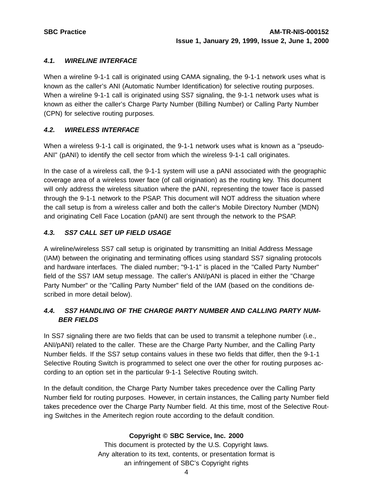#### **4.1. WIRELINE INTERFACE**

When a wireline 9-1-1 call is originated using CAMA signaling, the 9-1-1 network uses what is known as the caller's ANI (Automatic Number Identification) for selective routing purposes. When a wireline 9-1-1 call is originated using SS7 signaling, the 9-1-1 network uses what is known as either the caller's Charge Party Number (Billing Number) or Calling Party Number (CPN) for selective routing purposes.

## **4.2. WIRELESS INTERFACE**

When a wireless 9-1-1 call is originated, the 9-1-1 network uses what is known as a "pseudo-ANI" (pANI) to identify the cell sector from which the wireless 9-1-1 call originates.

In the case of a wireless call, the 9-1-1 system will use a pANI associated with the geographic coverage area of a wireless tower face (of call origination) as the routing key. This document will only address the wireless situation where the pANI, representing the tower face is passed through the 9-1-1 network to the PSAP. This document will NOT address the situation where the call setup is from a wireless caller and both the caller's Mobile Directory Number (MDN) and originating Cell Face Location (pANI) are sent through the network to the PSAP.

# **4.3. SS7 CALL SET UP FIELD USAGE**

A wireline/wireless SS7 call setup is originated by transmitting an Initial Address Message (IAM) between the originating and terminating offices using standard SS7 signaling protocols and hardware interfaces. The dialed number; "9-1-1" is placed in the "Called Party Number" field of the SS7 IAM setup message. The caller's ANI/pANI is placed in either the "Charge Party Number" or the "Calling Party Number" field of the IAM (based on the conditions described in more detail below).

# **4.4. SS7 HANDLING OF THE CHARGE PARTY NUMBER AND CALLING PARTY NUM-BER FIELDS**

In SS7 signaling there are two fields that can be used to transmit a telephone number (i.e., ANI/pANI) related to the caller. These are the Charge Party Number, and the Calling Party Number fields. If the SS7 setup contains values in these two fields that differ, then the 9-1-1 Selective Routing Switch is programmed to select one over the other for routing purposes according to an option set in the particular 9-1-1 Selective Routing switch.

In the default condition, the Charge Party Number takes precedence over the Calling Party Number field for routing purposes. However, in certain instances, the Calling party Number field takes precedence over the Charge Party Number field. At this time, most of the Selective Routing Switches in the Ameritech region route according to the default condition.

# **Copyright © SBC Service, Inc. 2000**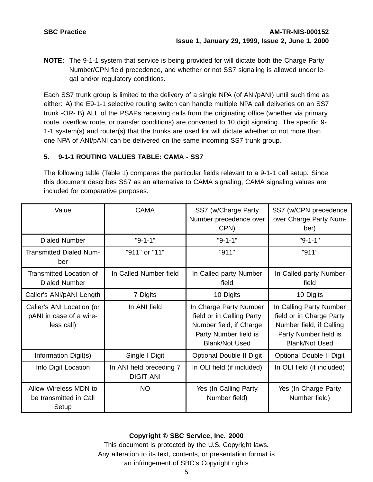**NOTE:** The 9-1-1 system that service is being provided for will dictate both the Charge Party Number/CPN field precedence, and whether or not SS7 signaling is allowed under legal and/or regulatory conditions.

Each SS7 trunk group is limited to the delivery of a single NPA (of ANI/pANI) until such time as either: A) the E9-1-1 selective routing switch can handle multiple NPA call deliveries on an SS7 trunk -OR- B) ALL of the PSAPs receiving calls from the originating office (whether via primary route, overflow route, or transfer conditions) are converted to 10 digit signaling. The specific 9- 1-1 system(s) and router(s) that the trunks are used for will dictate whether or not more than one NPA of ANI/pANI can be delivered on the same incoming SS7 trunk group.

# **5. 9-1-1 ROUTING VALUES TABLE: CAMA - SS7**

The following table (Table 1) compares the particular fields relevant to a 9-1-1 call setup. Since this document describes SS7 as an alternative to CAMA signaling, CAMA signaling values are included for comparative purposes.

| Value                                                              | CAMA                                         | SS7 (w/Charge Party<br>Number precedence over<br>CPN)                                                                            | SS7 (w/CPN precedence<br>over Charge Party Num-<br>ber)                                                                           |
|--------------------------------------------------------------------|----------------------------------------------|----------------------------------------------------------------------------------------------------------------------------------|-----------------------------------------------------------------------------------------------------------------------------------|
| <b>Dialed Number</b>                                               | $"9-1-1"$                                    | $"9-1-1"$                                                                                                                        | $"9-1-1"$                                                                                                                         |
| Transmitted Dialed Num-<br>ber                                     | "911" or "11"                                | "911"                                                                                                                            | "911"                                                                                                                             |
| Transmitted Location of<br><b>Dialed Number</b>                    | In Called Number field                       | In Called party Number<br>field                                                                                                  | In Called party Number<br>field                                                                                                   |
| Caller's ANI/pANI Length                                           | 7 Digits                                     | 10 Digits                                                                                                                        | 10 Digits                                                                                                                         |
| Caller's ANI Location (or<br>pANI in case of a wire-<br>less call) | In ANI field                                 | In Charge Party Number<br>field or in Calling Party<br>Number field, if Charge<br>Party Number field is<br><b>Blank/Not Used</b> | In Calling Party Number<br>field or in Charge Party<br>Number field, if Calling<br>Party Number field is<br><b>Blank/Not Used</b> |
| Information Digit(s)                                               | Single I Digit                               | <b>Optional Double II Digit</b>                                                                                                  | Optional Double II Digit                                                                                                          |
| Info Digit Location                                                | In ANI field preceding 7<br><b>DIGIT ANI</b> | In OLI field (if included)                                                                                                       | In OLI field (if included)                                                                                                        |
| Allow Wireless MDN to<br>be transmitted in Call<br>Setup           | <b>NO</b>                                    | Yes (In Calling Party)<br>Number field)                                                                                          | Yes (In Charge Party<br>Number field)                                                                                             |

#### **Copyright © SBC Service, Inc. 2000**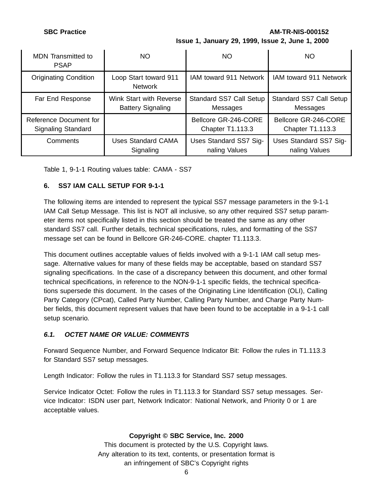**SBC Practice AM-TR-NIS-000152 Issue 1, January 29, 1999, Issue 2, June 1, 2000**

| <b>MDN</b> Transmitted to<br><b>PSAP</b> | ΝO                                      | NO                             | NO.                            |
|------------------------------------------|-----------------------------------------|--------------------------------|--------------------------------|
| <b>Originating Condition</b>             | Loop Start toward 911<br><b>Network</b> | IAM toward 911 Network         | IAM toward 911 Network         |
| Far End Response                         | Wink Start with Reverse                 | <b>Standard SS7 Call Setup</b> | <b>Standard SS7 Call Setup</b> |
|                                          | <b>Battery Signaling</b>                | Messages                       | Messages                       |
| Reference Document for                   |                                         | Bellcore GR-246-CORE           | Bellcore GR-246-CORE           |
| <b>Signaling Standard</b>                |                                         | Chapter T1.113.3               | Chapter T1.113.3               |
| Comments                                 | <b>Uses Standard CAMA</b>               | Uses Standard SS7 Sig-         | Uses Standard SS7 Sig-         |
|                                          | Signaling                               | naling Values                  | naling Values                  |

Table 1, 9-1-1 Routing values table: CAMA - SS7

# **6. SS7 IAM CALL SETUP FOR 9-1-1**

The following items are intended to represent the typical SS7 message parameters in the 9-1-1 IAM Call Setup Message. This list is NOT all inclusive, so any other required SS7 setup parameter items not specifically listed in this section should be treated the same as any other standard SS7 call. Further details, technical specifications, rules, and formatting of the SS7 message set can be found in Bellcore GR-246-CORE. chapter T1.113.3.

This document outlines acceptable values of fields involved with a 9-1-1 IAM call setup message. Alternative values for many of these fields may be acceptable, based on standard SS7 signaling specifications. In the case of a discrepancy between this document, and other formal technical specifications, in reference to the NON-9-1-1 specific fields, the technical specifications supersede this document. In the cases of the Originating Line Identification (OLI), Calling Party Category (CPcat), Called Party Number, Calling Party Number, and Charge Party Number fields, this document represent values that have been found to be acceptable in a 9-1-1 call setup scenario.

# **6.1. OCTET NAME OR VALUE: COMMENTS**

Forward Sequence Number, and Forward Sequence Indicator Bit: Follow the rules in T1.113.3 for Standard SS7 setup messages.

Length Indicator: Follow the rules in T1.113.3 for Standard SS7 setup messages.

Service Indicator Octet: Follow the rules in T1.113.3 for Standard SS7 setup messages. Service Indicator: ISDN user part, Network Indicator: National Network, and Priority 0 or 1 are acceptable values.

# **Copyright © SBC Service, Inc. 2000**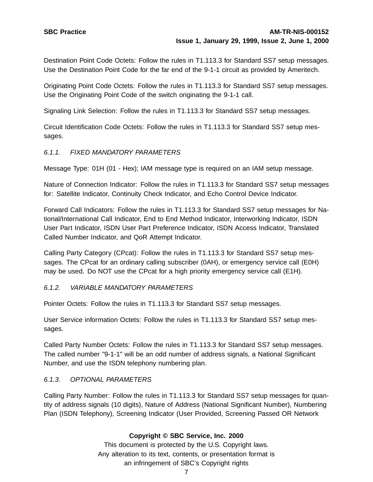Destination Point Code Octets: Follow the rules in T1.113.3 for Standard SS7 setup messages. Use the Destination Point Code for the far end of the 9-1-1 circuit as provided by Ameritech.

Originating Point Code Octets: Follow the rules in T1.113.3 for Standard SS7 setup messages. Use the Originating Point Code of the switch originating the 9-1-1 call.

Signaling Link Selection: Follow the rules in T1.113.3 for Standard SS7 setup messages.

Circuit Identification Code Octets: Follow the rules in T1.113.3 for Standard SS7 setup messages.

## 6.1.1. FIXED MANDATORY PARAMETERS

Message Type: 01H (01 - Hex); IAM message type is required on an IAM setup message.

Nature of Connection Indicator: Follow the rules in T1.113.3 for Standard SS7 setup messages for: Satellite Indicator, Continuity Check Indicator, and Echo Control Device Indicator.

Forward Call Indicators: Follow the rules in T1.113.3 for Standard SS7 setup messages for National/International Call Indicator, End to End Method Indicator, Interworking Indicator, ISDN User Part Indicator, ISDN User Part Preference Indicator, ISDN Access Indicator, Translated Called Number Indicator, and QoR Attempt Indicator.

Calling Party Category (CPcat): Follow the rules in T1.113.3 for Standard SS7 setup messages. The CPcat for an ordinary calling subscriber (0AH), or emergency service call (E0H) may be used. Do NOT use the CPcat for a high priority emergency service call (E1H).

# 6.1.2. VARIABLE MANDATORY PARAMETERS

Pointer Octets: Follow the rules in T1.113.3 for Standard SS7 setup messages.

User Service information Octets: Follow the rules in T1.113.3 for Standard SS7 setup messages.

Called Party Number Octets: Follow the rules in T1.113.3 for Standard SS7 setup messages. The called number "9-1-1" will be an odd number of address signals, a National Significant Number, and use the ISDN telephony numbering plan.

#### 6.1.3. OPTIONAL PARAMETERS

Calling Party Number: Follow the rules in T1.113.3 for Standard SS7 setup messages for quantity of address signals (10 digits), Nature of Address (National Significant Number), Numbering Plan (ISDN Telephony), Screening Indicator (User Provided, Screening Passed OR Network

#### **Copyright © SBC Service, Inc. 2000**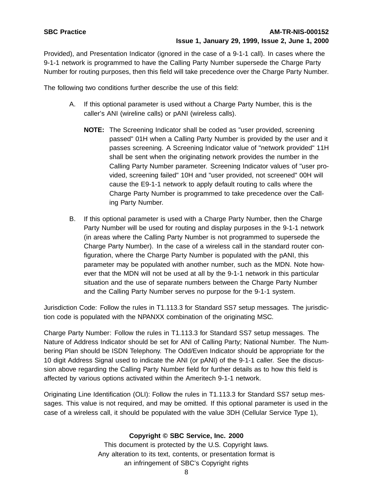Provided), and Presentation Indicator (ignored in the case of a 9-1-1 call). In cases where the 9-1-1 network is programmed to have the Calling Party Number supersede the Charge Party Number for routing purposes, then this field will take precedence over the Charge Party Number.

The following two conditions further describe the use of this field:

- A. If this optional parameter is used without a Charge Party Number, this is the caller's ANI (wireline calls) or pANI (wireless calls).
	- **NOTE:** The Screening Indicator shall be coded as "user provided, screening passed" 01H when a Calling Party Number is provided by the user and it passes screening. A Screening Indicator value of "network provided" 11H shall be sent when the originating network provides the number in the Calling Party Number parameter. Screening Indicator values of "user provided, screening failed" 10H and "user provided, not screened" 00H will cause the E9-1-1 network to apply default routing to calls where the Charge Party Number is programmed to take precedence over the Calling Party Number.
- B. If this optional parameter is used with a Charge Party Number, then the Charge Party Number will be used for routing and display purposes in the 9-1-1 network (in areas where the Calling Party Number is not programmed to supersede the Charge Party Number). In the case of a wireless call in the standard router configuration, where the Charge Party Number is populated with the pANI, this parameter may be populated with another number, such as the MDN. Note however that the MDN will not be used at all by the 9-1-1 network in this particular situation and the use of separate numbers between the Charge Party Number and the Calling Party Number serves no purpose for the 9-1-1 system.

Jurisdiction Code: Follow the rules in T1.113.3 for Standard SS7 setup messages. The jurisdiction code is populated with the NPANXX combination of the originating MSC.

Charge Party Number: Follow the rules in T1.113.3 for Standard SS7 setup messages. The Nature of Address Indicator should be set for ANI of Calling Party; National Number. The Numbering Plan should be ISDN Telephony. The Odd/Even Indicator should be appropriate for the 10 digit Address Signal used to indicate the ANI (or pANI) of the 9-1-1 caller. See the discussion above regarding the Calling Party Number field for further details as to how this field is affected by various options activated within the Ameritech 9-1-1 network.

Originating Line Identification (OLI): Follow the rules in T1.113.3 for Standard SS7 setup messages. This value is not required, and may be omitted. If this optional parameter is used in the case of a wireless call, it should be populated with the value 3DH (Cellular Service Type 1),

# **Copyright © SBC Service, Inc. 2000**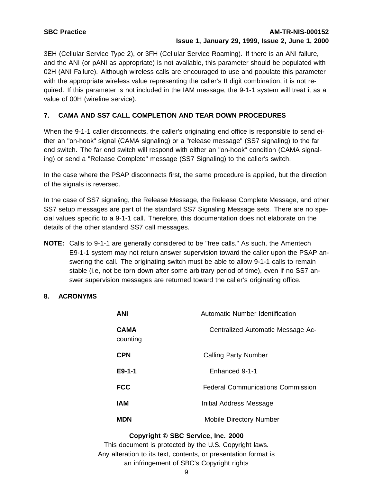# **SBC Practice AM-TR-NIS-000152 Issue 1, January 29, 1999, Issue 2, June 1, 2000**

3EH (Cellular Service Type 2), or 3FH (Cellular Service Roaming). If there is an ANI failure, and the ANI (or pANI as appropriate) is not available, this parameter should be populated with 02H (ANI Failure). Although wireless calls are encouraged to use and populate this parameter with the appropriate wireless value representing the caller's II digit combination, it is not required. If this parameter is not included in the IAM message, the 9-1-1 system will treat it as a value of 00H (wireline service).

# **7. CAMA AND SS7 CALL COMPLETION AND TEAR DOWN PROCEDURES**

When the 9-1-1 caller disconnects, the caller's originating end office is responsible to send either an "on-hook" signal (CAMA signaling) or a "release message" (SS7 signaling) to the far end switch. The far end switch will respond with either an "on-hook" condition (CAMA signaling) or send a "Release Complete" message (SS7 Signaling) to the caller's switch.

In the case where the PSAP disconnects first, the same procedure is applied, but the direction of the signals is reversed.

In the case of SS7 signaling, the Release Message, the Release Complete Message, and other SS7 setup messages are part of the standard SS7 Signaling Message sets. There are no special values specific to a 9-1-1 call. Therefore, this documentation does not elaborate on the details of the other standard SS7 call messages.

**NOTE:** Calls to 9-1-1 are generally considered to be "free calls." As such, the Ameritech E9-1-1 system may not return answer supervision toward the caller upon the PSAP answering the call. The originating switch must be able to allow 9-1-1 calls to remain stable (i.e, not be torn down after some arbitrary period of time), even if no SS7 answer supervision messages are returned toward the caller's originating office.

# **8. ACRONYMS**

| <b>ANI</b>              | Automatic Number Identification          |
|-------------------------|------------------------------------------|
| <b>CAMA</b><br>counting | Centralized Automatic Message Ac-        |
| <b>CPN</b>              | <b>Calling Party Number</b>              |
| $E9-1-1$                | Enhanced 9-1-1                           |
| <b>FCC</b>              | <b>Federal Communications Commission</b> |
| <b>IAM</b>              | Initial Address Message                  |
| MDN                     | <b>Mobile Directory Number</b>           |

#### **Copyright © SBC Service, Inc. 2000**